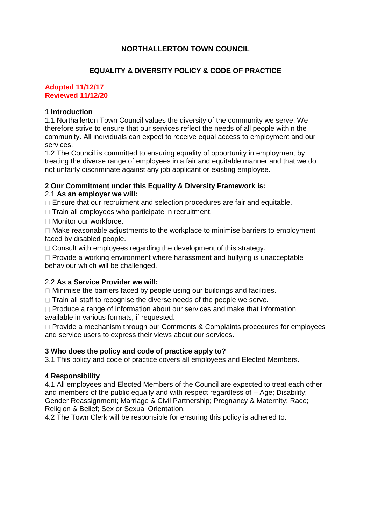# **NORTHALLERTON TOWN COUNCIL**

### **EQUALITY & DIVERSITY POLICY & CODE OF PRACTICE**

#### **Adopted 11/12/17 Reviewed 11/12/20**

#### **1 Introduction**

1.1 Northallerton Town Council values the diversity of the community we serve. We therefore strive to ensure that our services reflect the needs of all people within the community. All individuals can expect to receive equal access to employment and our services.

1.2 The Council is committed to ensuring equality of opportunity in employment by treating the diverse range of employees in a fair and equitable manner and that we do not unfairly discriminate against any job applicant or existing employee.

### **2 Our Commitment under this Equality & Diversity Framework is:**

### 2.1 **As an employer we will:**

 $\Box$  Ensure that our recruitment and selection procedures are fair and equitable.

 $\Box$  Train all employees who participate in recruitment.

□ Monitor our workforce.

 $\Box$  Make reasonable adjustments to the workplace to minimise barriers to employment faced by disabled people.

 $\Box$  Consult with employees regarding the development of this strategy.

 $\Box$  Provide a working environment where harassment and bullying is unacceptable behaviour which will be challenged.

### 2.2 **As a Service Provider we will:**

 $\Box$  Minimise the barriers faced by people using our buildings and facilities.

 $\Box$  Train all staff to recognise the diverse needs of the people we serve.

 $\Box$  Produce a range of information about our services and make that information available in various formats, if requested.

 $\Box$  Provide a mechanism through our Comments & Complaints procedures for employees and service users to express their views about our services.

### **3 Who does the policy and code of practice apply to?**

3.1 This policy and code of practice covers all employees and Elected Members.

### **4 Responsibility**

4.1 All employees and Elected Members of the Council are expected to treat each other and members of the public equally and with respect regardless of – Age; Disability; Gender Reassignment; Marriage & Civil Partnership; Pregnancy & Maternity; Race; Religion & Belief; Sex or Sexual Orientation.

4.2 The Town Clerk will be responsible for ensuring this policy is adhered to.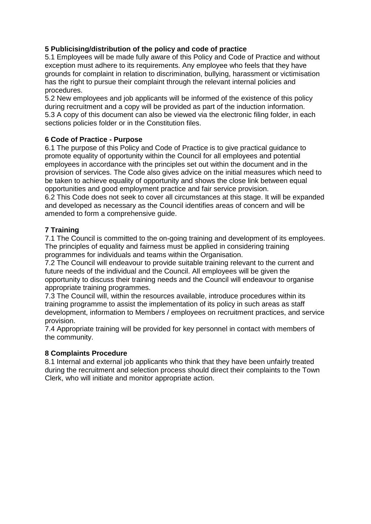## **5 Publicising/distribution of the policy and code of practice**

5.1 Employees will be made fully aware of this Policy and Code of Practice and without exception must adhere to its requirements. Any employee who feels that they have grounds for complaint in relation to discrimination, bullying, harassment or victimisation has the right to pursue their complaint through the relevant internal policies and procedures.

5.2 New employees and job applicants will be informed of the existence of this policy during recruitment and a copy will be provided as part of the induction information. 5.3 A copy of this document can also be viewed via the electronic filing folder, in each sections policies folder or in the Constitution files.

## **6 Code of Practice - Purpose**

6.1 The purpose of this Policy and Code of Practice is to give practical guidance to promote equality of opportunity within the Council for all employees and potential employees in accordance with the principles set out within the document and in the provision of services. The Code also gives advice on the initial measures which need to be taken to achieve equality of opportunity and shows the close link between equal opportunities and good employment practice and fair service provision.

6.2 This Code does not seek to cover all circumstances at this stage. It will be expanded and developed as necessary as the Council identifies areas of concern and will be amended to form a comprehensive guide.

### **7 Training**

7.1 The Council is committed to the on-going training and development of its employees. The principles of equality and fairness must be applied in considering training programmes for individuals and teams within the Organisation.

7.2 The Council will endeavour to provide suitable training relevant to the current and future needs of the individual and the Council. All employees will be given the opportunity to discuss their training needs and the Council will endeavour to organise appropriate training programmes.

7.3 The Council will, within the resources available, introduce procedures within its training programme to assist the implementation of its policy in such areas as staff development, information to Members / employees on recruitment practices, and service provision.

7.4 Appropriate training will be provided for key personnel in contact with members of the community.

### **8 Complaints Procedure**

8.1 Internal and external job applicants who think that they have been unfairly treated during the recruitment and selection process should direct their complaints to the Town Clerk, who will initiate and monitor appropriate action.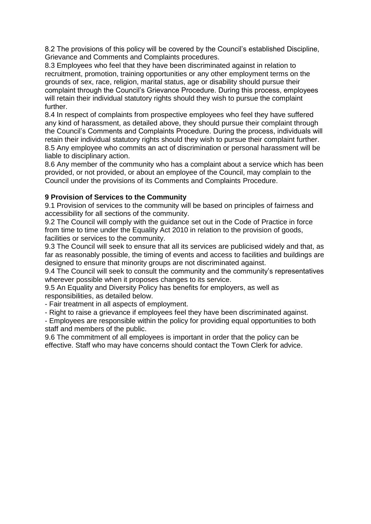8.2 The provisions of this policy will be covered by the Council's established Discipline, Grievance and Comments and Complaints procedures.

8.3 Employees who feel that they have been discriminated against in relation to recruitment, promotion, training opportunities or any other employment terms on the grounds of sex, race, religion, marital status, age or disability should pursue their complaint through the Council's Grievance Procedure. During this process, employees will retain their individual statutory rights should they wish to pursue the complaint further.

8.4 In respect of complaints from prospective employees who feel they have suffered any kind of harassment, as detailed above, they should pursue their complaint through the Council's Comments and Complaints Procedure. During the process, individuals will retain their individual statutory rights should they wish to pursue their complaint further. 8.5 Any employee who commits an act of discrimination or personal harassment will be liable to disciplinary action.

8.6 Any member of the community who has a complaint about a service which has been provided, or not provided, or about an employee of the Council, may complain to the Council under the provisions of its Comments and Complaints Procedure.

## **9 Provision of Services to the Community**

9.1 Provision of services to the community will be based on principles of fairness and accessibility for all sections of the community.

9.2 The Council will comply with the guidance set out in the Code of Practice in force from time to time under the Equality Act 2010 in relation to the provision of goods, facilities or services to the community.

9.3 The Council will seek to ensure that all its services are publicised widely and that, as far as reasonably possible, the timing of events and access to facilities and buildings are designed to ensure that minority groups are not discriminated against.

9.4 The Council will seek to consult the community and the community's representatives wherever possible when it proposes changes to its service.

9.5 An Equality and Diversity Policy has benefits for employers, as well as responsibilities, as detailed below.

- Fair treatment in all aspects of employment.

- Right to raise a grievance if employees feel they have been discriminated against.

- Employees are responsible within the policy for providing equal opportunities to both staff and members of the public.

9.6 The commitment of all employees is important in order that the policy can be effective. Staff who may have concerns should contact the Town Clerk for advice.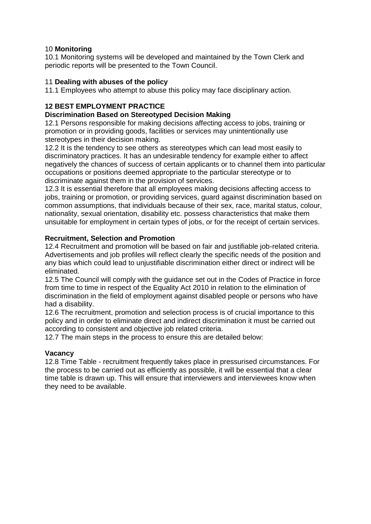### 10 **Monitoring**

10.1 Monitoring systems will be developed and maintained by the Town Clerk and periodic reports will be presented to the Town Council.

### 11 **Dealing with abuses of the policy**

11.1 Employees who attempt to abuse this policy may face disciplinary action.

## **12 BEST EMPLOYMENT PRACTICE**

### **Discrimination Based on Stereotyped Decision Making**

12.1 Persons responsible for making decisions affecting access to jobs, training or promotion or in providing goods, facilities or services may unintentionally use stereotypes in their decision making.

12.2 It is the tendency to see others as stereotypes which can lead most easily to discriminatory practices. It has an undesirable tendency for example either to affect negatively the chances of success of certain applicants or to channel them into particular occupations or positions deemed appropriate to the particular stereotype or to discriminate against them in the provision of services.

12.3 It is essential therefore that all employees making decisions affecting access to jobs, training or promotion, or providing services, guard against discrimination based on common assumptions, that individuals because of their sex, race, marital status, colour, nationality, sexual orientation, disability etc. possess characteristics that make them unsuitable for employment in certain types of jobs, or for the receipt of certain services.

### **Recruitment, Selection and Promotion**

12.4 Recruitment and promotion will be based on fair and justifiable job-related criteria. Advertisements and job profiles will reflect clearly the specific needs of the position and any bias which could lead to unjustifiable discrimination either direct or indirect will be eliminated.

12.5 The Council will comply with the guidance set out in the Codes of Practice in force from time to time in respect of the Equality Act 2010 in relation to the elimination of discrimination in the field of employment against disabled people or persons who have had a disability.

12.6 The recruitment, promotion and selection process is of crucial importance to this policy and in order to eliminate direct and indirect discrimination it must be carried out according to consistent and objective job related criteria.

12.7 The main steps in the process to ensure this are detailed below:

## **Vacancy**

12.8 Time Table - recruitment frequently takes place in pressurised circumstances. For the process to be carried out as efficiently as possible, it will be essential that a clear time table is drawn up. This will ensure that interviewers and interviewees know when they need to be available.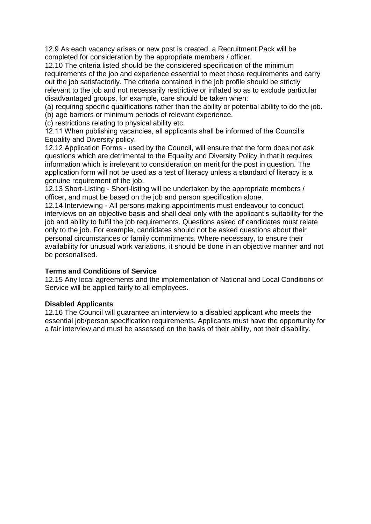12.9 As each vacancy arises or new post is created, a Recruitment Pack will be completed for consideration by the appropriate members / officer.

12.10 The criteria listed should be the considered specification of the minimum requirements of the job and experience essential to meet those requirements and carry out the job satisfactorily. The criteria contained in the job profile should be strictly relevant to the job and not necessarily restrictive or inflated so as to exclude particular disadvantaged groups, for example, care should be taken when:

(a) requiring specific qualifications rather than the ability or potential ability to do the job.

(b) age barriers or minimum periods of relevant experience.

(c) restrictions relating to physical ability etc.

12.11 When publishing vacancies, all applicants shall be informed of the Council's Equality and Diversity policy.

12.12 Application Forms - used by the Council, will ensure that the form does not ask questions which are detrimental to the Equality and Diversity Policy in that it requires information which is irrelevant to consideration on merit for the post in question. The application form will not be used as a test of literacy unless a standard of literacy is a genuine requirement of the job.

12.13 Short-Listing - Short-listing will be undertaken by the appropriate members / officer, and must be based on the job and person specification alone.

12.14 Interviewing - All persons making appointments must endeavour to conduct interviews on an objective basis and shall deal only with the applicant's suitability for the job and ability to fulfil the job requirements. Questions asked of candidates must relate only to the job. For example, candidates should not be asked questions about their personal circumstances or family commitments. Where necessary, to ensure their availability for unusual work variations, it should be done in an objective manner and not be personalised.

### **Terms and Conditions of Service**

12.15 Any local agreements and the implementation of National and Local Conditions of Service will be applied fairly to all employees.

### **Disabled Applicants**

12.16 The Council will guarantee an interview to a disabled applicant who meets the essential job/person specification requirements. Applicants must have the opportunity for a fair interview and must be assessed on the basis of their ability, not their disability.